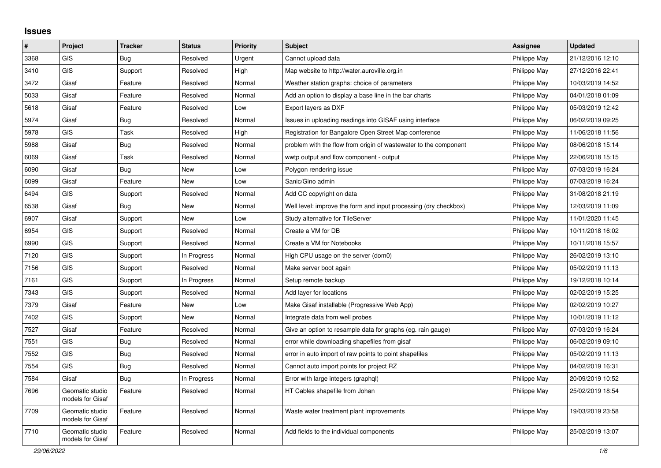## **Issues**

| #    | Project                             | <b>Tracker</b> | <b>Status</b> | Priority | <b>Subject</b>                                                   | Assignee     | <b>Updated</b>   |
|------|-------------------------------------|----------------|---------------|----------|------------------------------------------------------------------|--------------|------------------|
| 3368 | <b>GIS</b>                          | Bug            | Resolved      | Urgent   | Cannot upload data                                               | Philippe May | 21/12/2016 12:10 |
| 3410 | <b>GIS</b>                          | Support        | Resolved      | High     | Map website to http://water.auroville.org.in                     | Philippe May | 27/12/2016 22:41 |
| 3472 | Gisaf                               | Feature        | Resolved      | Normal   | Weather station graphs: choice of parameters                     | Philippe May | 10/03/2019 14:52 |
| 5033 | Gisaf                               | Feature        | Resolved      | Normal   | Add an option to display a base line in the bar charts           | Philippe May | 04/01/2018 01:09 |
| 5618 | Gisaf                               | Feature        | Resolved      | Low      | Export layers as DXF                                             | Philippe May | 05/03/2019 12:42 |
| 5974 | Gisaf                               | Bug            | Resolved      | Normal   | Issues in uploading readings into GISAF using interface          | Philippe May | 06/02/2019 09:25 |
| 5978 | <b>GIS</b>                          | Task           | Resolved      | High     | Registration for Bangalore Open Street Map conference            | Philippe May | 11/06/2018 11:56 |
| 5988 | Gisaf                               | Bug            | Resolved      | Normal   | problem with the flow from origin of wastewater to the component | Philippe May | 08/06/2018 15:14 |
| 6069 | Gisaf                               | Task           | Resolved      | Normal   | wwtp output and flow component - output                          | Philippe May | 22/06/2018 15:15 |
| 6090 | Gisaf                               | Bug            | New           | Low      | Polygon rendering issue                                          | Philippe May | 07/03/2019 16:24 |
| 6099 | Gisaf                               | Feature        | New           | Low      | Sanic/Gino admin                                                 | Philippe May | 07/03/2019 16:24 |
| 6494 | <b>GIS</b>                          | Support        | Resolved      | Normal   | Add CC copyright on data                                         | Philippe May | 31/08/2018 21:19 |
| 6538 | Gisaf                               | Bug            | <b>New</b>    | Normal   | Well level: improve the form and input processing (dry checkbox) | Philippe May | 12/03/2019 11:09 |
| 6907 | Gisaf                               | Support        | New           | Low      | Study alternative for TileServer                                 | Philippe May | 11/01/2020 11:45 |
| 6954 | <b>GIS</b>                          | Support        | Resolved      | Normal   | Create a VM for DB                                               | Philippe May | 10/11/2018 16:02 |
| 6990 | <b>GIS</b>                          | Support        | Resolved      | Normal   | Create a VM for Notebooks                                        | Philippe May | 10/11/2018 15:57 |
| 7120 | <b>GIS</b>                          | Support        | In Progress   | Normal   | High CPU usage on the server (dom0)                              | Philippe May | 26/02/2019 13:10 |
| 7156 | <b>GIS</b>                          | Support        | Resolved      | Normal   | Make server boot again                                           | Philippe May | 05/02/2019 11:13 |
| 7161 | <b>GIS</b>                          | Support        | In Progress   | Normal   | Setup remote backup                                              | Philippe May | 19/12/2018 10:14 |
| 7343 | <b>GIS</b>                          | Support        | Resolved      | Normal   | Add layer for locations                                          | Philippe May | 02/02/2019 15:25 |
| 7379 | Gisaf                               | Feature        | New           | Low      | Make Gisaf installable (Progressive Web App)                     | Philippe May | 02/02/2019 10:27 |
| 7402 | <b>GIS</b>                          | Support        | New           | Normal   | Integrate data from well probes                                  | Philippe May | 10/01/2019 11:12 |
| 7527 | Gisaf                               | Feature        | Resolved      | Normal   | Give an option to resample data for graphs (eg. rain gauge)      | Philippe May | 07/03/2019 16:24 |
| 7551 | <b>GIS</b>                          | <b>Bug</b>     | Resolved      | Normal   | error while downloading shapefiles from gisaf                    | Philippe May | 06/02/2019 09:10 |
| 7552 | <b>GIS</b>                          | Bug            | Resolved      | Normal   | error in auto import of raw points to point shapefiles           | Philippe May | 05/02/2019 11:13 |
| 7554 | <b>GIS</b>                          | Bug            | Resolved      | Normal   | Cannot auto import points for project RZ                         | Philippe May | 04/02/2019 16:31 |
| 7584 | Gisaf                               | Bug            | In Progress   | Normal   | Error with large integers (graphql)                              | Philippe May | 20/09/2019 10:52 |
| 7696 | Geomatic studio<br>models for Gisaf | Feature        | Resolved      | Normal   | HT Cables shapefile from Johan                                   | Philippe May | 25/02/2019 18:54 |
| 7709 | Geomatic studio<br>models for Gisaf | Feature        | Resolved      | Normal   | Waste water treatment plant improvements                         | Philippe May | 19/03/2019 23:58 |
| 7710 | Geomatic studio<br>models for Gisaf | Feature        | Resolved      | Normal   | Add fields to the individual components                          | Philippe May | 25/02/2019 13:07 |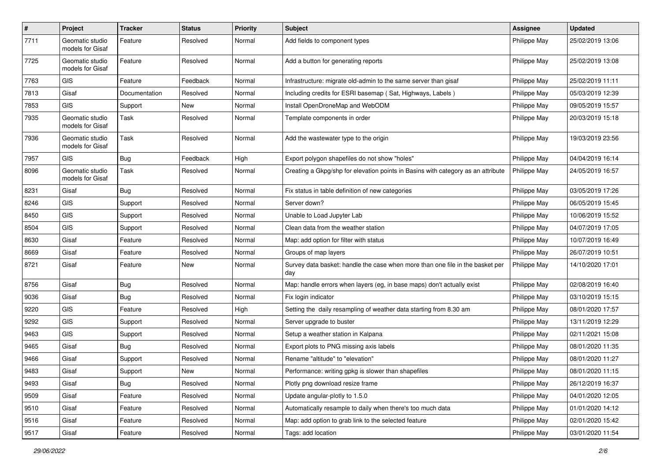| $\pmb{\#}$ | Project                             | <b>Tracker</b> | <b>Status</b> | <b>Priority</b> | Subject                                                                              | <b>Assignee</b> | <b>Updated</b>   |
|------------|-------------------------------------|----------------|---------------|-----------------|--------------------------------------------------------------------------------------|-----------------|------------------|
| 7711       | Geomatic studio<br>models for Gisaf | Feature        | Resolved      | Normal          | Add fields to component types                                                        | Philippe May    | 25/02/2019 13:06 |
| 7725       | Geomatic studio<br>models for Gisaf | Feature        | Resolved      | Normal          | Add a button for generating reports                                                  | Philippe May    | 25/02/2019 13:08 |
| 7763       | <b>GIS</b>                          | Feature        | Feedback      | Normal          | Infrastructure: migrate old-admin to the same server than gisaf                      | Philippe May    | 25/02/2019 11:11 |
| 7813       | Gisaf                               | Documentation  | Resolved      | Normal          | Including credits for ESRI basemap (Sat, Highways, Labels)                           | Philippe May    | 05/03/2019 12:39 |
| 7853       | <b>GIS</b>                          | Support        | New           | Normal          | Install OpenDroneMap and WebODM                                                      | Philippe May    | 09/05/2019 15:57 |
| 7935       | Geomatic studio<br>models for Gisaf | Task           | Resolved      | Normal          | Template components in order                                                         | Philippe May    | 20/03/2019 15:18 |
| 7936       | Geomatic studio<br>models for Gisaf | Task           | Resolved      | Normal          | Add the wastewater type to the origin                                                | Philippe May    | 19/03/2019 23:56 |
| 7957       | <b>GIS</b>                          | Bug            | Feedback      | High            | Export polygon shapefiles do not show "holes"                                        | Philippe May    | 04/04/2019 16:14 |
| 8096       | Geomatic studio<br>models for Gisaf | Task           | Resolved      | Normal          | Creating a Gkpg/shp for elevation points in Basins with category as an attribute     | Philippe May    | 24/05/2019 16:57 |
| 8231       | Gisaf                               | Bug            | Resolved      | Normal          | Fix status in table definition of new categories                                     | Philippe May    | 03/05/2019 17:26 |
| 8246       | <b>GIS</b>                          | Support        | Resolved      | Normal          | Server down?                                                                         | Philippe May    | 06/05/2019 15:45 |
| 8450       | <b>GIS</b>                          | Support        | Resolved      | Normal          | Unable to Load Jupyter Lab                                                           | Philippe May    | 10/06/2019 15:52 |
| 8504       | <b>GIS</b>                          | Support        | Resolved      | Normal          | Clean data from the weather station                                                  | Philippe May    | 04/07/2019 17:05 |
| 8630       | Gisaf                               | Feature        | Resolved      | Normal          | Map: add option for filter with status                                               | Philippe May    | 10/07/2019 16:49 |
| 8669       | Gisaf                               | Feature        | Resolved      | Normal          | Groups of map layers                                                                 | Philippe May    | 26/07/2019 10:51 |
| 8721       | Gisaf                               | Feature        | New           | Normal          | Survey data basket: handle the case when more than one file in the basket per<br>day | Philippe May    | 14/10/2020 17:01 |
| 8756       | Gisaf                               | <b>Bug</b>     | Resolved      | Normal          | Map: handle errors when layers (eg, in base maps) don't actually exist               | Philippe May    | 02/08/2019 16:40 |
| 9036       | Gisaf                               | <b>Bug</b>     | Resolved      | Normal          | Fix login indicator                                                                  | Philippe May    | 03/10/2019 15:15 |
| 9220       | <b>GIS</b>                          | Feature        | Resolved      | High            | Setting the daily resampling of weather data starting from 8.30 am                   | Philippe May    | 08/01/2020 17:57 |
| 9292       | <b>GIS</b>                          | Support        | Resolved      | Normal          | Server upgrade to buster                                                             | Philippe May    | 13/11/2019 12:29 |
| 9463       | <b>GIS</b>                          | Support        | Resolved      | Normal          | Setup a weather station in Kalpana                                                   | Philippe May    | 02/11/2021 15:08 |
| 9465       | Gisaf                               | <b>Bug</b>     | Resolved      | Normal          | Export plots to PNG missing axis labels                                              | Philippe May    | 08/01/2020 11:35 |
| 9466       | Gisaf                               | Support        | Resolved      | Normal          | Rename "altitude" to "elevation"                                                     | Philippe May    | 08/01/2020 11:27 |
| 9483       | Gisaf                               | Support        | New           | Normal          | Performance: writing gpkg is slower than shapefiles                                  | Philippe May    | 08/01/2020 11:15 |
| 9493       | Gisaf                               | <b>Bug</b>     | Resolved      | Normal          | Plotly png download resize frame                                                     | Philippe May    | 26/12/2019 16:37 |
| 9509       | Gisaf                               | Feature        | Resolved      | Normal          | Update angular-plotly to 1.5.0                                                       | Philippe May    | 04/01/2020 12:05 |
| 9510       | Gisaf                               | Feature        | Resolved      | Normal          | Automatically resample to daily when there's too much data                           | Philippe May    | 01/01/2020 14:12 |
| 9516       | Gisaf                               | Feature        | Resolved      | Normal          | Map: add option to grab link to the selected feature                                 | Philippe May    | 02/01/2020 15:42 |
| 9517       | Gisaf                               | Feature        | Resolved      | Normal          | Tags: add location                                                                   | Philippe May    | 03/01/2020 11:54 |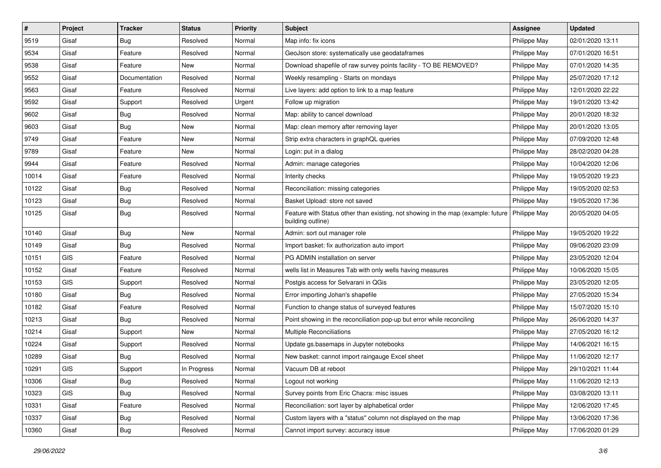| $\sharp$ | Project | <b>Tracker</b> | <b>Status</b> | <b>Priority</b> | <b>Subject</b>                                                                                        | <b>Assignee</b> | <b>Updated</b>   |
|----------|---------|----------------|---------------|-----------------|-------------------------------------------------------------------------------------------------------|-----------------|------------------|
| 9519     | Gisaf   | <b>Bug</b>     | Resolved      | Normal          | Map info: fix icons                                                                                   | Philippe May    | 02/01/2020 13:11 |
| 9534     | Gisaf   | Feature        | Resolved      | Normal          | GeoJson store: systematically use geodataframes                                                       | Philippe May    | 07/01/2020 16:51 |
| 9538     | Gisaf   | Feature        | New           | Normal          | Download shapefile of raw survey points facility - TO BE REMOVED?                                     | Philippe May    | 07/01/2020 14:35 |
| 9552     | Gisaf   | Documentation  | Resolved      | Normal          | Weekly resampling - Starts on mondays                                                                 | Philippe May    | 25/07/2020 17:12 |
| 9563     | Gisaf   | Feature        | Resolved      | Normal          | Live layers: add option to link to a map feature                                                      | Philippe May    | 12/01/2020 22:22 |
| 9592     | Gisaf   | Support        | Resolved      | Urgent          | Follow up migration                                                                                   | Philippe May    | 19/01/2020 13:42 |
| 9602     | Gisaf   | <b>Bug</b>     | Resolved      | Normal          | Map: ability to cancel download                                                                       | Philippe May    | 20/01/2020 18:32 |
| 9603     | Gisaf   | Bug            | New           | Normal          | Map: clean memory after removing layer                                                                | Philippe May    | 20/01/2020 13:05 |
| 9749     | Gisaf   | Feature        | New           | Normal          | Strip extra characters in graphQL queries                                                             | Philippe May    | 07/09/2020 12:48 |
| 9789     | Gisaf   | Feature        | <b>New</b>    | Normal          | Login: put in a dialog                                                                                | Philippe May    | 28/02/2020 04:28 |
| 9944     | Gisaf   | Feature        | Resolved      | Normal          | Admin: manage categories                                                                              | Philippe May    | 10/04/2020 12:06 |
| 10014    | Gisaf   | Feature        | Resolved      | Normal          | Interity checks                                                                                       | Philippe May    | 19/05/2020 19:23 |
| 10122    | Gisaf   | Bug            | Resolved      | Normal          | Reconciliation: missing categories                                                                    | Philippe May    | 19/05/2020 02:53 |
| 10123    | Gisaf   | Bug            | Resolved      | Normal          | Basket Upload: store not saved                                                                        | Philippe May    | 19/05/2020 17:36 |
| 10125    | Gisaf   | <b>Bug</b>     | Resolved      | Normal          | Feature with Status other than existing, not showing in the map (example: future<br>building outline) | Philippe May    | 20/05/2020 04:05 |
| 10140    | Gisaf   | Bug            | <b>New</b>    | Normal          | Admin: sort out manager role                                                                          | Philippe May    | 19/05/2020 19:22 |
| 10149    | Gisaf   | Bug            | Resolved      | Normal          | Import basket: fix authorization auto import                                                          | Philippe May    | 09/06/2020 23:09 |
| 10151    | GIS     | Feature        | Resolved      | Normal          | PG ADMIN installation on server                                                                       | Philippe May    | 23/05/2020 12:04 |
| 10152    | Gisaf   | Feature        | Resolved      | Normal          | wells list in Measures Tab with only wells having measures                                            | Philippe May    | 10/06/2020 15:05 |
| 10153    | GIS     | Support        | Resolved      | Normal          | Postgis access for Selvarani in QGis                                                                  | Philippe May    | 23/05/2020 12:05 |
| 10180    | Gisaf   | <b>Bug</b>     | Resolved      | Normal          | Error importing Johan's shapefile                                                                     | Philippe May    | 27/05/2020 15:34 |
| 10182    | Gisaf   | Feature        | Resolved      | Normal          | Function to change status of surveyed features                                                        | Philippe May    | 15/07/2020 15:10 |
| 10213    | Gisaf   | Bug            | Resolved      | Normal          | Point showing in the reconciliation pop-up but error while reconciling                                | Philippe May    | 26/06/2020 14:37 |
| 10214    | Gisaf   | Support        | New           | Normal          | Multiple Reconciliations                                                                              | Philippe May    | 27/05/2020 16:12 |
| 10224    | Gisaf   | Support        | Resolved      | Normal          | Update gs.basemaps in Jupyter notebooks                                                               | Philippe May    | 14/06/2021 16:15 |
| 10289    | Gisaf   | Bug            | Resolved      | Normal          | New basket: cannot import raingauge Excel sheet                                                       | Philippe May    | 11/06/2020 12:17 |
| 10291    | GIS     | Support        | In Progress   | Normal          | Vacuum DB at reboot                                                                                   | Philippe May    | 29/10/2021 11:44 |
| 10306    | Gisaf   | Bug            | Resolved      | Normal          | Logout not working                                                                                    | Philippe May    | 11/06/2020 12:13 |
| 10323    | GIS     | Bug            | Resolved      | Normal          | Survey points from Eric Chacra: misc issues                                                           | Philippe May    | 03/08/2020 13:11 |
| 10331    | Gisaf   | Feature        | Resolved      | Normal          | Reconciliation: sort layer by alphabetical order                                                      | Philippe May    | 12/06/2020 17:45 |
| 10337    | Gisaf   | <b>Bug</b>     | Resolved      | Normal          | Custom layers with a "status" column not displayed on the map                                         | Philippe May    | 13/06/2020 17:36 |
| 10360    | Gisaf   | <b>Bug</b>     | Resolved      | Normal          | Cannot import survey: accuracy issue                                                                  | Philippe May    | 17/06/2020 01:29 |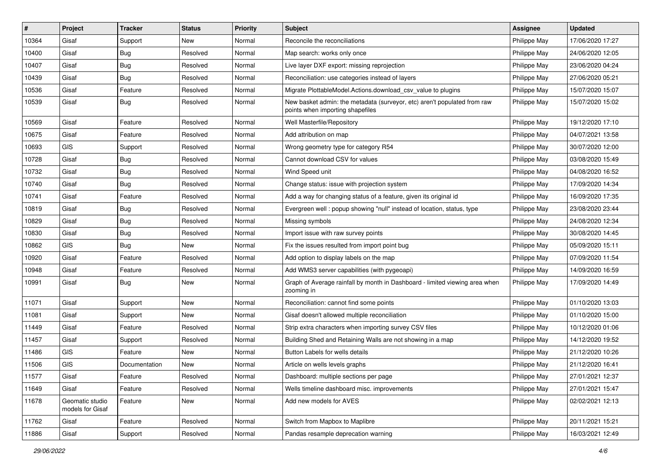| #     | Project                             | <b>Tracker</b> | <b>Status</b> | <b>Priority</b> | <b>Subject</b>                                                                                               | <b>Assignee</b> | <b>Updated</b>   |
|-------|-------------------------------------|----------------|---------------|-----------------|--------------------------------------------------------------------------------------------------------------|-----------------|------------------|
| 10364 | Gisaf                               | Support        | New           | Normal          | Reconcile the reconciliations                                                                                | Philippe May    | 17/06/2020 17:27 |
| 10400 | Gisaf                               | Bug            | Resolved      | Normal          | Map search: works only once                                                                                  | Philippe May    | 24/06/2020 12:05 |
| 10407 | Gisaf                               | Bug            | Resolved      | Normal          | Live layer DXF export: missing reprojection                                                                  | Philippe May    | 23/06/2020 04:24 |
| 10439 | Gisaf                               | <b>Bug</b>     | Resolved      | Normal          | Reconciliation: use categories instead of layers                                                             | Philippe May    | 27/06/2020 05:21 |
| 10536 | Gisaf                               | Feature        | Resolved      | Normal          | Migrate PlottableModel.Actions.download_csv_value to plugins                                                 | Philippe May    | 15/07/2020 15:07 |
| 10539 | Gisaf                               | Bug            | Resolved      | Normal          | New basket admin: the metadata (surveyor, etc) aren't populated from raw<br>points when importing shapefiles | Philippe May    | 15/07/2020 15:02 |
| 10569 | Gisaf                               | Feature        | Resolved      | Normal          | Well Masterfile/Repository                                                                                   | Philippe May    | 19/12/2020 17:10 |
| 10675 | Gisaf                               | Feature        | Resolved      | Normal          | Add attribution on map                                                                                       | Philippe May    | 04/07/2021 13:58 |
| 10693 | <b>GIS</b>                          | Support        | Resolved      | Normal          | Wrong geometry type for category R54                                                                         | Philippe May    | 30/07/2020 12:00 |
| 10728 | Gisaf                               | Bug            | Resolved      | Normal          | Cannot download CSV for values                                                                               | Philippe May    | 03/08/2020 15:49 |
| 10732 | Gisaf                               | <b>Bug</b>     | Resolved      | Normal          | Wind Speed unit                                                                                              | Philippe May    | 04/08/2020 16:52 |
| 10740 | Gisaf                               | Bug            | Resolved      | Normal          | Change status: issue with projection system                                                                  | Philippe May    | 17/09/2020 14:34 |
| 10741 | Gisaf                               | Feature        | Resolved      | Normal          | Add a way for changing status of a feature, given its original id                                            | Philippe May    | 16/09/2020 17:35 |
| 10819 | Gisaf                               | <b>Bug</b>     | Resolved      | Normal          | Evergreen well: popup showing "null" instead of location, status, type                                       | Philippe May    | 23/08/2020 23:44 |
| 10829 | Gisaf                               | Bug            | Resolved      | Normal          | Missing symbols                                                                                              | Philippe May    | 24/08/2020 12:34 |
| 10830 | Gisaf                               | <b>Bug</b>     | Resolved      | Normal          | Import issue with raw survey points                                                                          | Philippe May    | 30/08/2020 14:45 |
| 10862 | <b>GIS</b>                          | <b>Bug</b>     | New           | Normal          | Fix the issues resulted from import point bug                                                                | Philippe May    | 05/09/2020 15:11 |
| 10920 | Gisaf                               | Feature        | Resolved      | Normal          | Add option to display labels on the map                                                                      | Philippe May    | 07/09/2020 11:54 |
| 10948 | Gisaf                               | Feature        | Resolved      | Normal          | Add WMS3 server capabilities (with pygeoapi)                                                                 | Philippe May    | 14/09/2020 16:59 |
| 10991 | Gisaf                               | <b>Bug</b>     | New           | Normal          | Graph of Average rainfall by month in Dashboard - limited viewing area when<br>zooming in                    | Philippe May    | 17/09/2020 14:49 |
| 11071 | Gisaf                               | Support        | <b>New</b>    | Normal          | Reconciliation: cannot find some points                                                                      | Philippe May    | 01/10/2020 13:03 |
| 11081 | Gisaf                               | Support        | New           | Normal          | Gisaf doesn't allowed multiple reconciliation                                                                | Philippe May    | 01/10/2020 15:00 |
| 11449 | Gisaf                               | Feature        | Resolved      | Normal          | Strip extra characters when importing survey CSV files                                                       | Philippe May    | 10/12/2020 01:06 |
| 11457 | Gisaf                               | Support        | Resolved      | Normal          | Building Shed and Retaining Walls are not showing in a map                                                   | Philippe May    | 14/12/2020 19:52 |
| 11486 | <b>GIS</b>                          | Feature        | New           | Normal          | Button Labels for wells details                                                                              | Philippe May    | 21/12/2020 10:26 |
| 11506 | GIS                                 | Documentation  | New           | Normal          | Article on wells levels graphs                                                                               | Philippe May    | 21/12/2020 16:41 |
| 11577 | Gisaf                               | Feature        | Resolved      | Normal          | Dashboard: multiple sections per page                                                                        | Philippe May    | 27/01/2021 12:37 |
| 11649 | Gisaf                               | Feature        | Resolved      | Normal          | Wells timeline dashboard misc. improvements                                                                  | Philippe May    | 27/01/2021 15:47 |
| 11678 | Geomatic studio<br>models for Gisaf | Feature        | New           | Normal          | Add new models for AVES                                                                                      | Philippe May    | 02/02/2021 12:13 |
| 11762 | Gisaf                               | Feature        | Resolved      | Normal          | Switch from Mapbox to Maplibre                                                                               | Philippe May    | 20/11/2021 15:21 |
| 11886 | Gisaf                               | Support        | Resolved      | Normal          | Pandas resample deprecation warning                                                                          | Philippe May    | 16/03/2021 12:49 |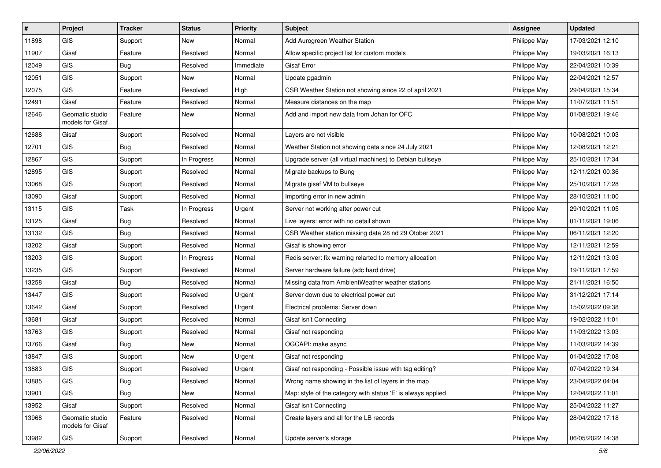| $\sharp$ | Project                             | <b>Tracker</b> | <b>Status</b> | <b>Priority</b> | <b>Subject</b>                                               | <b>Assignee</b> | <b>Updated</b>   |
|----------|-------------------------------------|----------------|---------------|-----------------|--------------------------------------------------------------|-----------------|------------------|
| 11898    | <b>GIS</b>                          | Support        | New           | Normal          | Add Aurogreen Weather Station                                | Philippe May    | 17/03/2021 12:10 |
| 11907    | Gisaf                               | Feature        | Resolved      | Normal          | Allow specific project list for custom models                | Philippe May    | 19/03/2021 16:13 |
| 12049    | GIS                                 | Bug            | Resolved      | Immediate       | Gisaf Error                                                  | Philippe May    | 22/04/2021 10:39 |
| 12051    | GIS                                 | Support        | New           | Normal          | Update pgadmin                                               | Philippe May    | 22/04/2021 12:57 |
| 12075    | GIS                                 | Feature        | Resolved      | High            | CSR Weather Station not showing since 22 of april 2021       | Philippe May    | 29/04/2021 15:34 |
| 12491    | Gisaf                               | Feature        | Resolved      | Normal          | Measure distances on the map                                 | Philippe May    | 11/07/2021 11:51 |
| 12646    | Geomatic studio<br>models for Gisaf | Feature        | New           | Normal          | Add and import new data from Johan for OFC                   | Philippe May    | 01/08/2021 19:46 |
| 12688    | Gisaf                               | Support        | Resolved      | Normal          | Layers are not visible                                       | Philippe May    | 10/08/2021 10:03 |
| 12701    | GIS                                 | Bug            | Resolved      | Normal          | Weather Station not showing data since 24 July 2021          | Philippe May    | 12/08/2021 12:21 |
| 12867    | GIS                                 | Support        | In Progress   | Normal          | Upgrade server (all virtual machines) to Debian bullseye     | Philippe May    | 25/10/2021 17:34 |
| 12895    | GIS                                 | Support        | Resolved      | Normal          | Migrate backups to Bung                                      | Philippe May    | 12/11/2021 00:36 |
| 13068    | GIS                                 | Support        | Resolved      | Normal          | Migrate gisaf VM to bullseye                                 | Philippe May    | 25/10/2021 17:28 |
| 13090    | Gisaf                               | Support        | Resolved      | Normal          | Importing error in new admin                                 | Philippe May    | 28/10/2021 11:00 |
| 13115    | <b>GIS</b>                          | Task           | In Progress   | Urgent          | Server not working after power cut                           | Philippe May    | 29/10/2021 11:05 |
| 13125    | Gisaf                               | Bug            | Resolved      | Normal          | Live layers: error with no detail shown                      | Philippe May    | 01/11/2021 19:06 |
| 13132    | GIS                                 | Bug            | Resolved      | Normal          | CSR Weather station missing data 28 nd 29 Otober 2021        | Philippe May    | 06/11/2021 12:20 |
| 13202    | Gisaf                               | Support        | Resolved      | Normal          | Gisaf is showing error                                       | Philippe May    | 12/11/2021 12:59 |
| 13203    | GIS                                 | Support        | In Progress   | Normal          | Redis server: fix warning relarted to memory allocation      | Philippe May    | 12/11/2021 13:03 |
| 13235    | GIS                                 | Support        | Resolved      | Normal          | Server hardware failure (sdc hard drive)                     | Philippe May    | 19/11/2021 17:59 |
| 13258    | Gisaf                               | Bug            | Resolved      | Normal          | Missing data from AmbientWeather weather stations            | Philippe May    | 21/11/2021 16:50 |
| 13447    | GIS                                 | Support        | Resolved      | Urgent          | Server down due to electrical power cut                      | Philippe May    | 31/12/2021 17:14 |
| 13642    | Gisaf                               | Support        | Resolved      | Urgent          | Electrical problems: Server down                             | Philippe May    | 15/02/2022 09:38 |
| 13681    | Gisaf                               | Support        | Resolved      | Normal          | Gisaf isn't Connecting                                       | Philippe May    | 19/02/2022 11:01 |
| 13763    | GIS                                 | Support        | Resolved      | Normal          | Gisaf not responding                                         | Philippe May    | 11/03/2022 13:03 |
| 13766    | Gisaf                               | Bug            | New           | Normal          | OGCAPI: make async                                           | Philippe May    | 11/03/2022 14:39 |
| 13847    | GIS                                 | Support        | New           | Urgent          | Gisaf not responding                                         | Philippe May    | 01/04/2022 17:08 |
| 13883    | GIS                                 | Support        | Resolved      | Urgent          | Gisaf not responding - Possible issue with tag editing?      | Philippe May    | 07/04/2022 19:34 |
| 13885    | GIS                                 | Bug            | Resolved      | Normal          | Wrong name showing in the list of layers in the map          | Philippe May    | 23/04/2022 04:04 |
| 13901    | GIS                                 | <b>Bug</b>     | New           | Normal          | Map: style of the category with status 'E' is always applied | Philippe May    | 12/04/2022 11:01 |
| 13952    | Gisaf                               | Support        | Resolved      | Normal          | Gisaf isn't Connecting                                       | Philippe May    | 25/04/2022 11:27 |
| 13968    | Geomatic studio<br>models for Gisaf | Feature        | Resolved      | Normal          | Create layers and all for the LB records                     | Philippe May    | 28/04/2022 17:18 |
| 13982    | GIS                                 | Support        | Resolved      | Normal          | Update server's storage                                      | Philippe May    | 06/05/2022 14:38 |